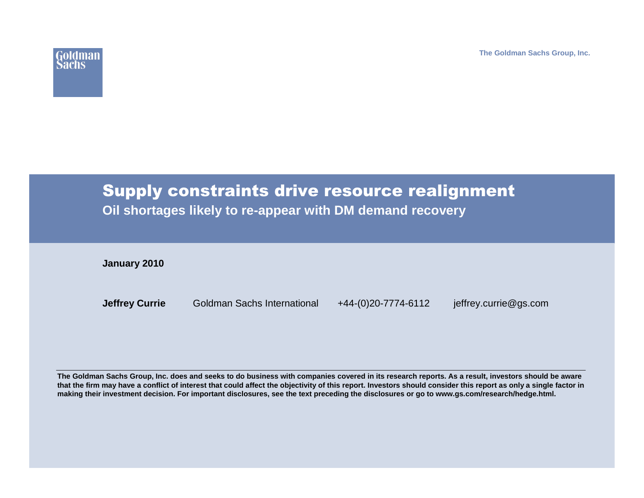**The Goldman Sachs Group, Inc.**



# Supply constraints drive resource realignment

**Oil shortages likely to re-appear with DM demand recovery**

**January 2010**

**Jeffrey Currie**

Goldman Sachs International +44-(0)20-7774-6112 jeffrey.currie@gs.com

**The Goldman Sachs Group, Inc. does and seeks to do business with companies covered in its research reports. As a result, investors should be aware that the firm may have a conflict of interest that could affect the objectivity of this report. Investors should consider this report as only a single factor in making their investment decision. For important disclosures, see the text preceding the disclosures or go to www.gs.com/research/hedge.html.**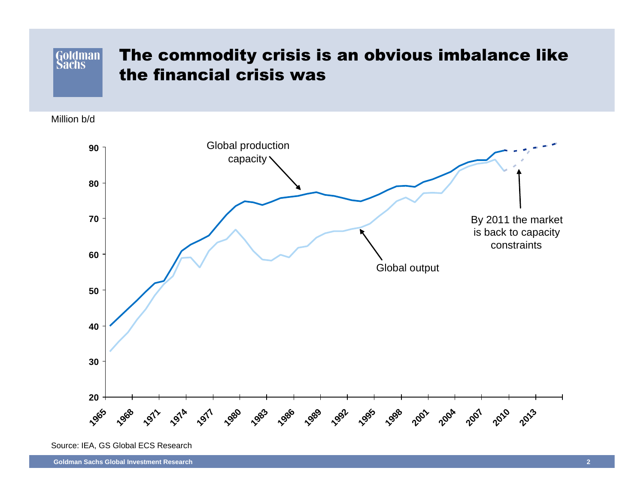### The commodity crisis is an obvious imbalance like Goldman the financial crisis was

Million b/d



Source: IEA, GS Global ECS Research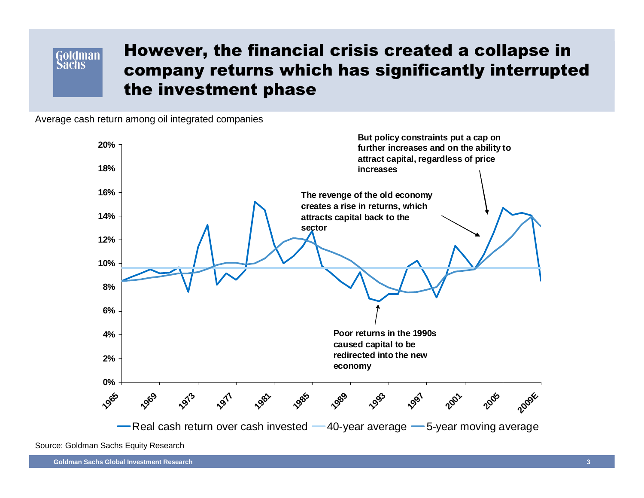### **Goldman Sachs**

## However, the financial crisis created a collapse in company returns which has significantly interrupted the investment phase

Average cash return among oil integrated companies

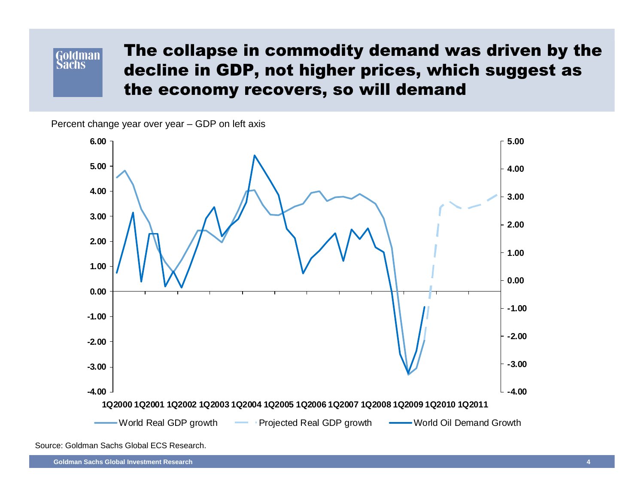# Goldman

## The collapse in commodity demand was driven by the decline in GDP, not higher prices, which suggest asthe economy recovers, so will demand

Percent change year over year – GDP on left axis



Source: Goldman Sachs Global ECS Research.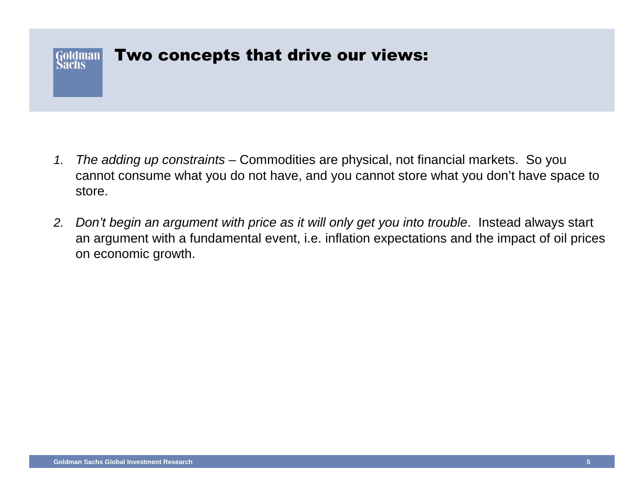#### Two concepts that drive our views:Goldman Sachs

- 1. The adding up constraints – Commodities are physical, not financial markets. So you cannot consume what you do not have, and you cannot store what you don't have space to store.
- 2. Don't begin an argument with price as it will only get you into trouble. Instead always start an argument with a fundamental event, i.e. inflation expectations and the impact of oil prices on economic growth.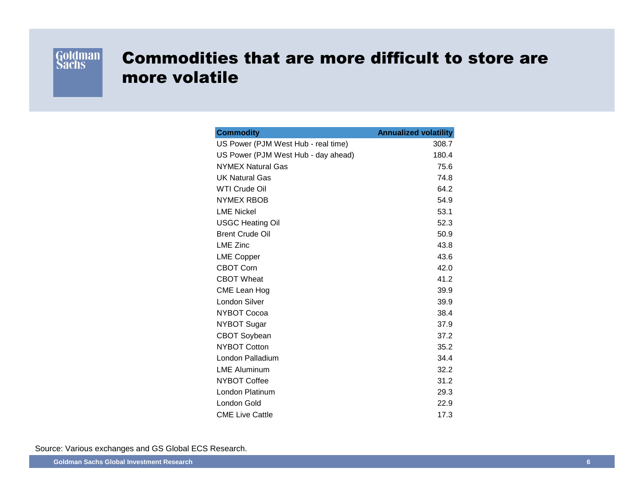

## Commodities that are more difficult to store are more volatile

| <b>Commodity</b>                    | <b>Annualized volatility</b> |
|-------------------------------------|------------------------------|
| US Power (PJM West Hub - real time) | 308.7                        |
| US Power (PJM West Hub - day ahead) | 180.4                        |
| <b>NYMEX Natural Gas</b>            | 75.6                         |
| <b>UK Natural Gas</b>               | 74.8                         |
| <b>WTI Crude Oil</b>                | 64.2                         |
| <b>NYMEX RBOB</b>                   | 54.9                         |
| <b>LME Nickel</b>                   | 53.1                         |
| <b>USGC Heating Oil</b>             | 52.3                         |
| <b>Brent Crude Oil</b>              | 50.9                         |
| <b>LME Zinc</b>                     | 43.8                         |
| <b>LME Copper</b>                   | 43.6                         |
| <b>CBOT Corn</b>                    | 42.0                         |
| <b>CBOT Wheat</b>                   | 41.2                         |
| CME Lean Hog                        | 39.9                         |
| London Silver                       | 39.9                         |
| NYBOT Cocoa                         | 38.4                         |
| <b>NYBOT Sugar</b>                  | 37.9                         |
| <b>CBOT Soybean</b>                 | 37.2                         |
| <b>NYBOT Cotton</b>                 | 35.2                         |
| London Palladium                    | 34.4                         |
| <b>LME Aluminum</b>                 | 32.2                         |
| <b>NYBOT Coffee</b>                 | 31.2                         |
| London Platinum                     | 29.3                         |
| London Gold                         | 22.9                         |
| <b>CME Live Cattle</b>              | 17.3                         |

Source: Various exchanges and GS Global ECS Research.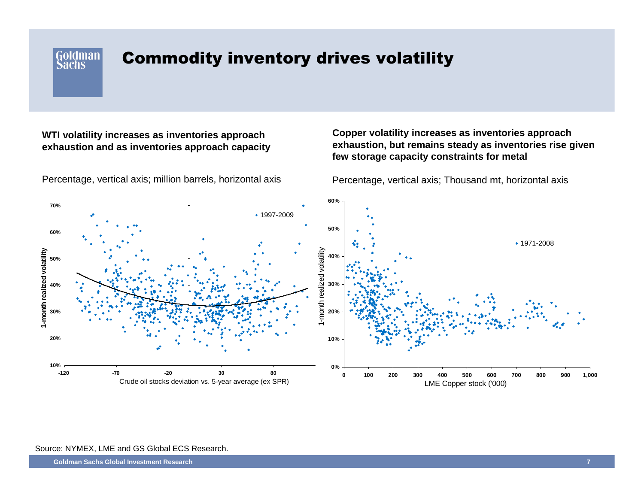Goldman **Sachs** 

### Commodity inventory drives volatility

### **WTI volatility increases as inventories approach exhaustion and as inventories approach capacity**

**60%70%**• 1997-2009 **50%60%**1971-20081-month realized volatility I-month realized volatility **1-month realized volatility** month realized volatility **40%50%30%40%20%30%20%10%10%0%-120 -70 -20 30 800 100 200 300 400 500 600 700 800 900 1,000** Crude oil stocks deviation vs. 5-year average (ex SPR)LME Copper stock ('000)

#### Percentage, vertical axis; million barrels, horizontal axis

### **Copper volatility increases as inventories approach exhaustion, but remains steady as inventories rise given few storage capacity constraints for metal**

Percentage, vertical axis; Thousand mt, horizontal axis

#### Source: NYMEX, LME and GS Global ECS Research.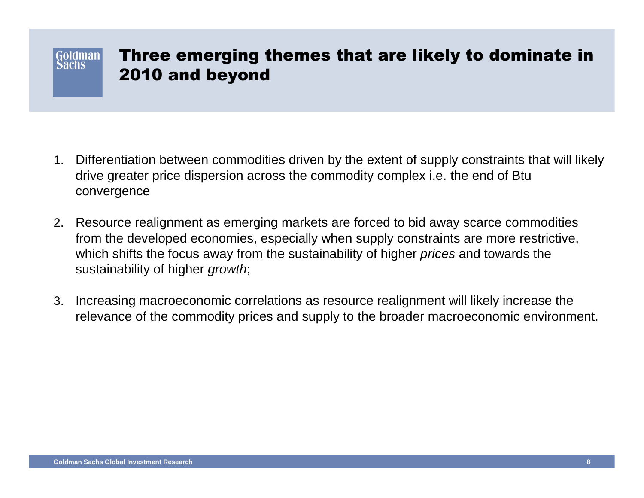#### Goldman | achs

## Three emerging themes that are likely to dominate in 2010 and beyond

- 1. Differentiation between commodities driven by the extent of supply constraints that will likely drive greater price dispersion across the commodity complex i.e. the end of Btu convergence
- 2. Resource realignment as emerging markets are forced to bid away scarce commodities from the developed economies, especially when supply constraints are more restrictive, which shifts the focus away from the sustainability of higher *prices* and towards the sustainability of higher growth;
- 3. Increasing macroeconomic correlations as resource realignment will likely increase the relevance of the commodity prices and supply to the broader macroeconomic environment.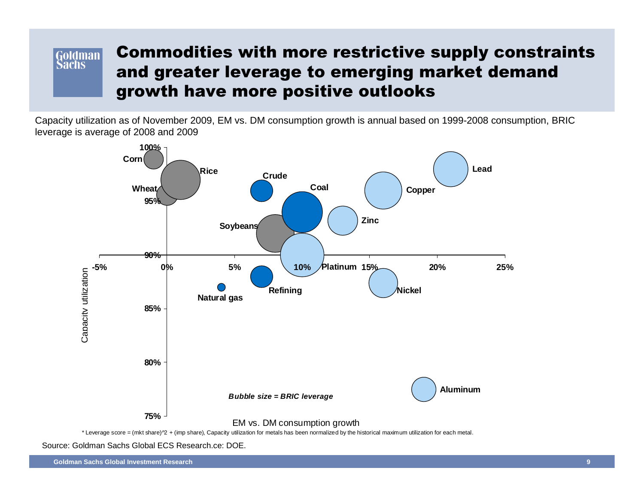### Commodities with more restrictive supply constraints **Goldman** Sachs and greater leverage to emerging market demand growth have more positive outlooks

Capacity utilization as of November 2009, EM vs. DM consumption growth is annual based on 1999-2008 consumption, BRIC leverage is average of 2008 and 2009



Source: Goldman Sachs Global ECS Research.ce: DOE.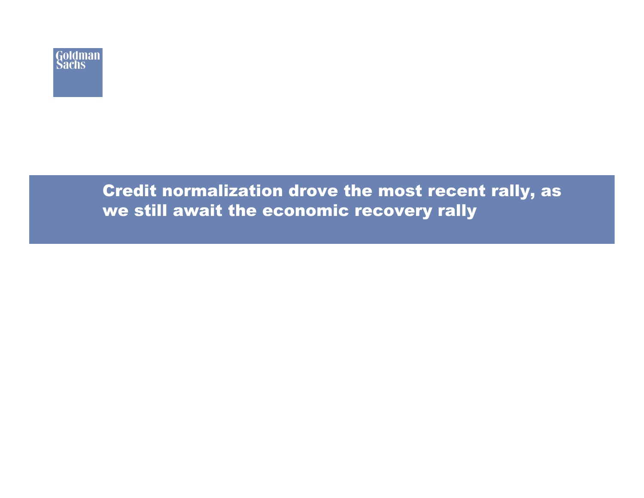

## Credit normalization drove the most recent rally, as we still await the economic recovery rally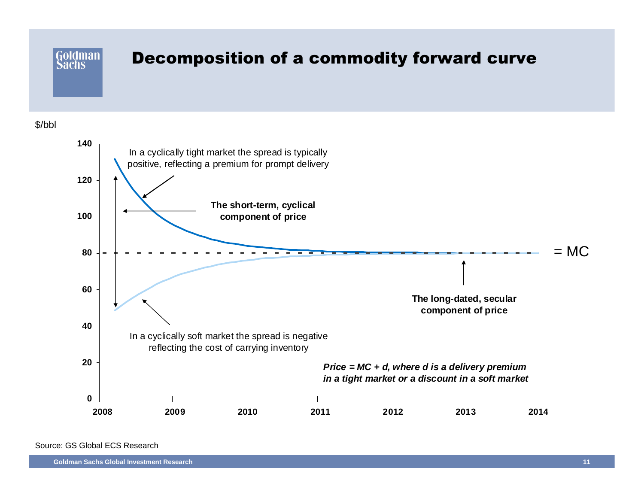

\$/bbl



Source: GS Global ECS Research

**Goldman Sachs Global Investment Research**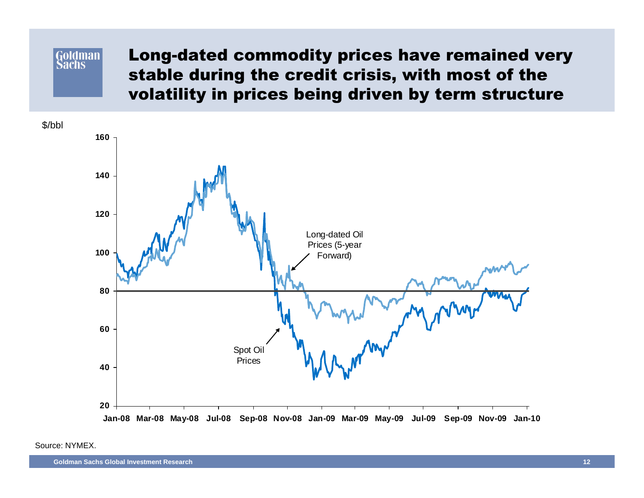#### **Goldman Sachs**

Long-dated commodity prices have remained very stable during the credit crisis, with most of the volatility in prices being driven by term structure

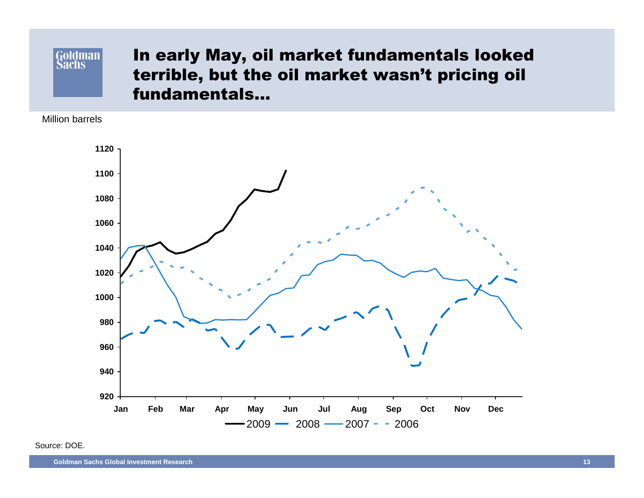# Goldman

## In early May, oil market fundamentals looked terrible, but the oil market wasn't pricing oil fundamentals…

Million barrels



Source: DOE.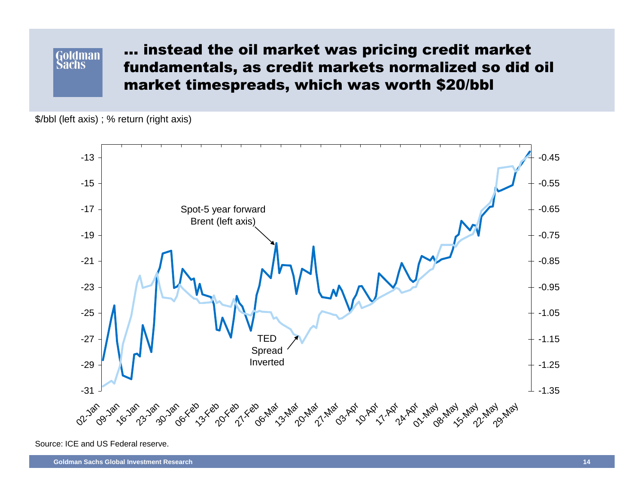### **Goldman Sachs**

… instead the oil market was pricing credit market fundamentals, as credit markets normalized so did oil market timespreads, which was worth \$20/bbl

\$/bbl (left axis) ; % return (right axis)



Source: ICE and US Federal reserve.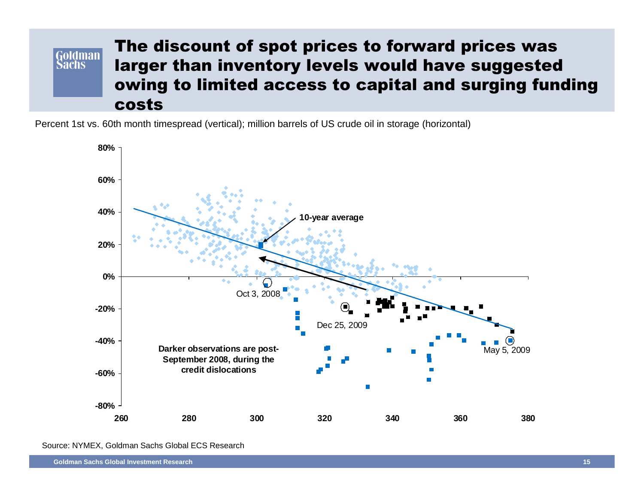### The discount of spot prices to forward prices was **Goldman**  larger than inventory levels would have suggested **Sachs**  owing to limited access to capital and surging funding costs

Percent 1st vs. 60th month timespread (vertical); million barrels of US crude oil in storage (horizontal)



Source: NYMEX, Goldman Sachs Global ECS Research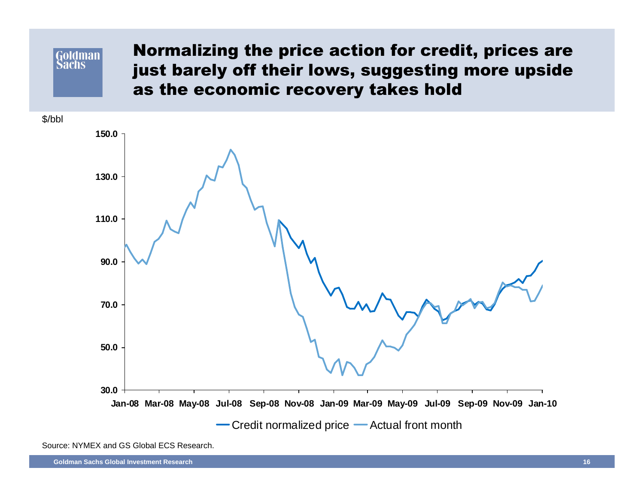**Goldman Sachs** 

Normalizing the price action for credit, prices are just barely off their lows, suggesting more upside as the economic recovery takes hold



Source: NYMEX and GS Global ECS Research.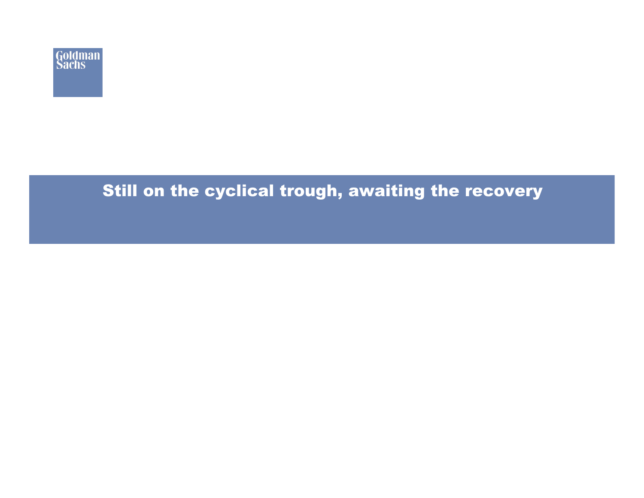

## Still on the cyclical trough, awaiting the recovery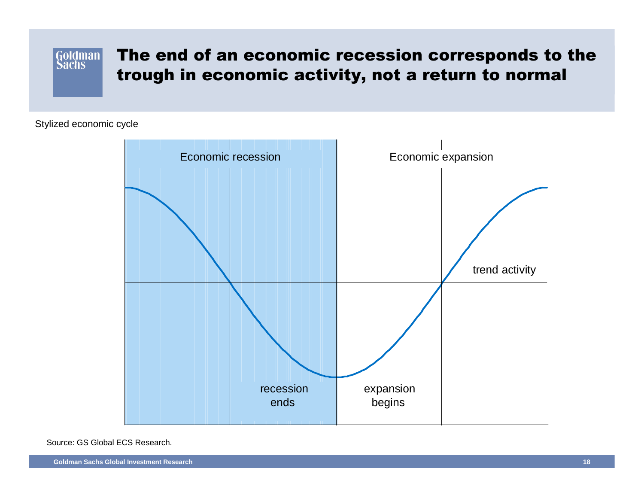### The end of an economic recession corresponds to theGoldman trough in economic activity, not a return to normal

Stylized economic cycle



Source: GS Global ECS Research.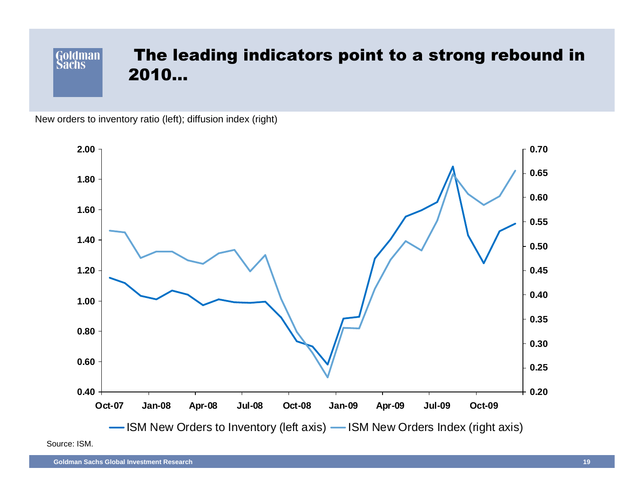### Goldman The leading indicators point to a strong rebound in2010…

New orders to inventory ratio (left); diffusion index (right)



Source: ISM.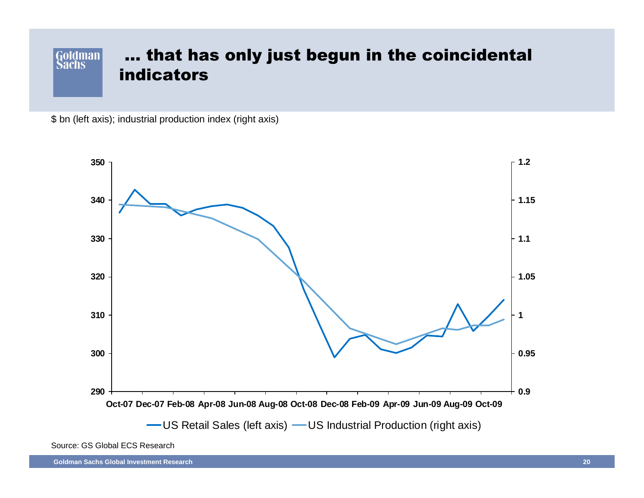#### … that has only just begun in the coincidentalGoldman **Sachs** indicators

\$ bn (left axis); industrial production index (right axis)



Source: GS Global ECS Research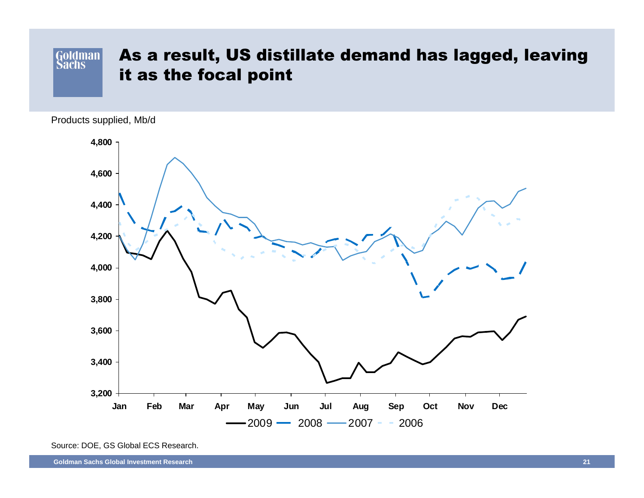### Goldman As a result, US distillate demand has lagged, leaving it as the focal point

Products supplied, Mb/d



Source: DOE, GS Global ECS Research.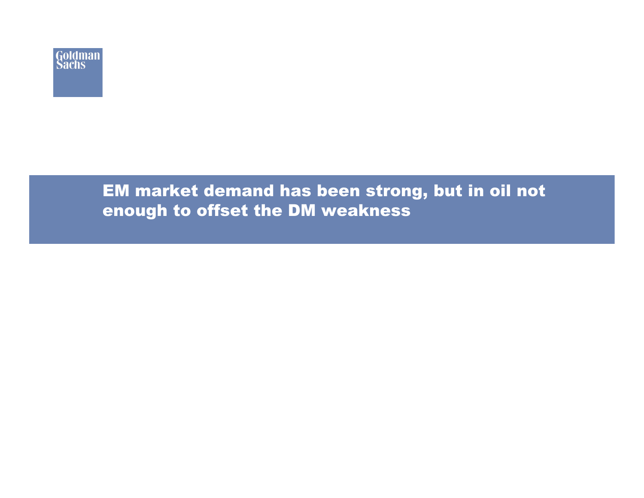

## EM market demand has been strong, but in oil not enough to offset the DM weakness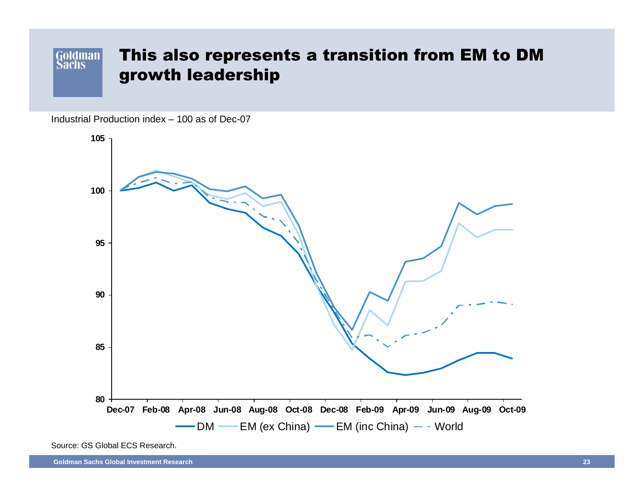### Goldman This also represents a transition from EM to DM growth leadership

Industrial Production index – 100 as of Dec-07



Source: GS Global ECS Research.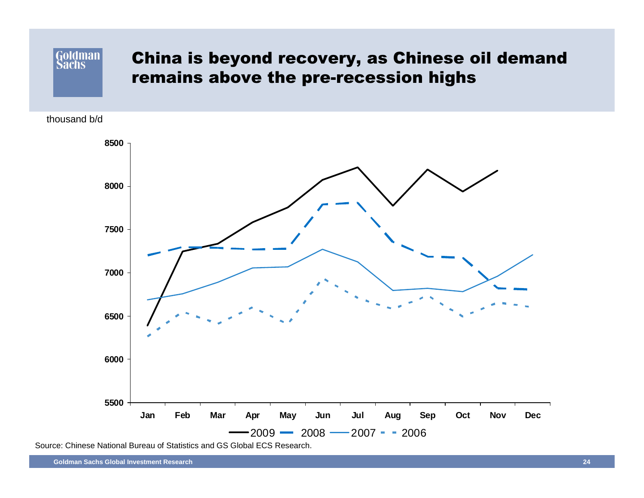## China is beyond recovery, as Chinese oil demand remains above the pre-recession highs

thousand b/d

**Goldman Sachs** 



Source: Chinese National Bureau of Statistics and GS Global ECS Research.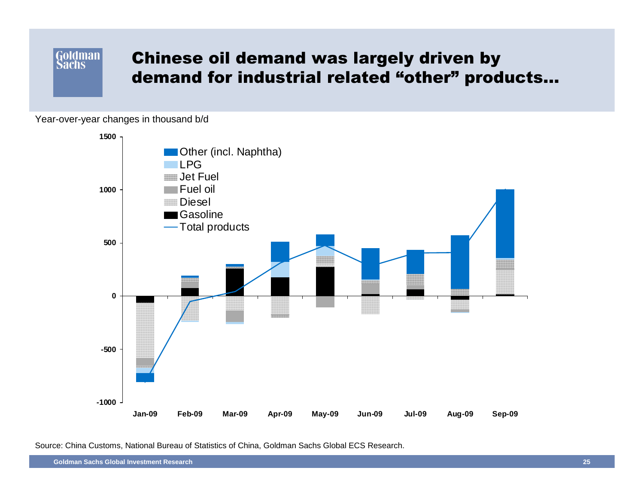### Goldman Chinese oil demand was largely driven bydemand for industrial related "other" products…

Year-over-year changes in thousand b/d

**Sachs** 



Source: China Customs, National Bureau of Statistics of China, Goldman Sachs Global ECS Research.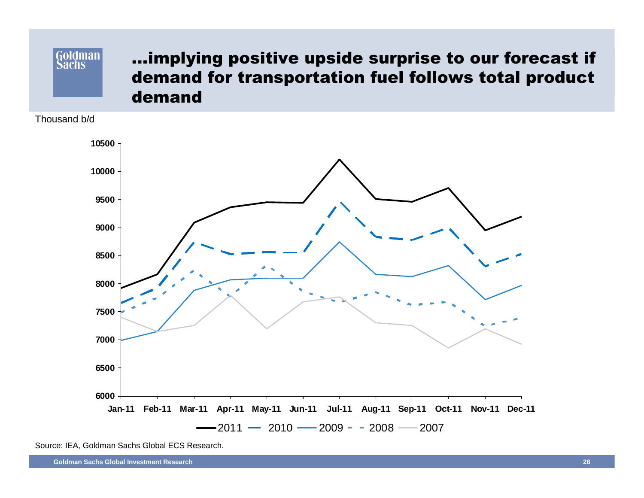### Goldman **Sachs**

## …implying positive upside surprise to our forecast if demand for transportation fuel follows total productdemand

Thousand b/d



Source: IEA, Goldman Sachs Global ECS Research.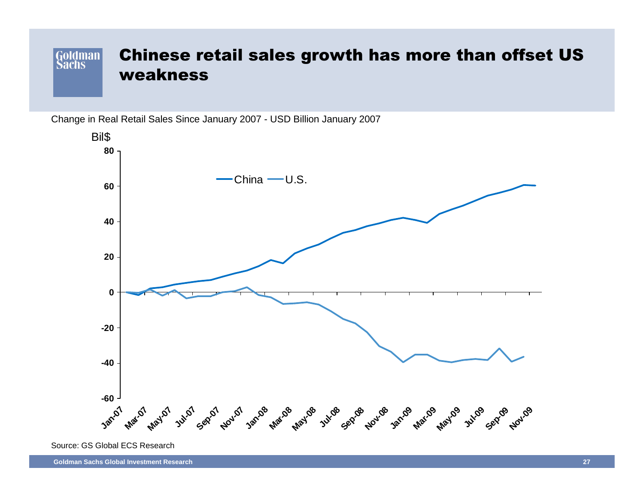### Chinese retail sales growth has more than offset US Goldman weakness

Change in Real Retail Sales Since January 2007 - USD Billion January 2007



Source: GS Global ECS Research

**Goldman Sachs Global Investment Research**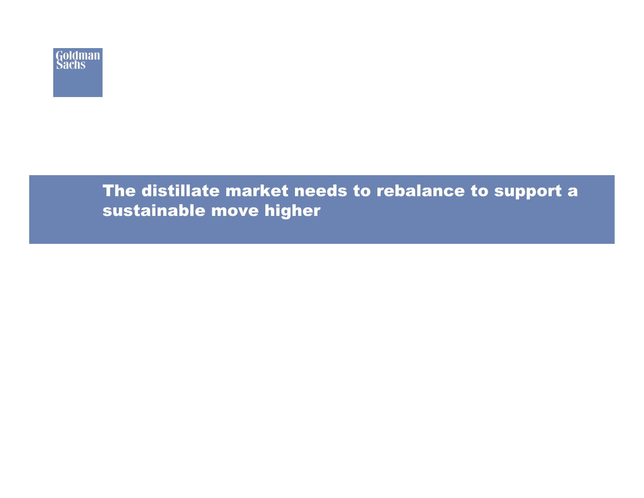

## The distillate market needs to rebalance to support a sustainable move higher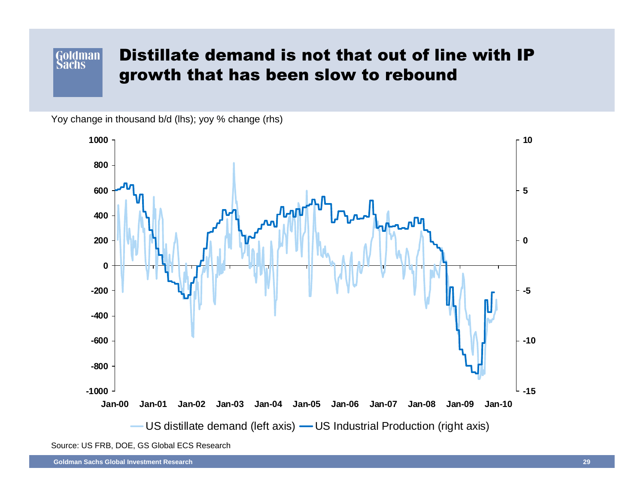#### Distillate demand is not that out of line with IP Goldman **Sachs** growth that has been slow to rebound

Yoy change in thousand b/d (lhs); yoy % change (rhs)



Source: US FRB, DOE, GS Global ECS Research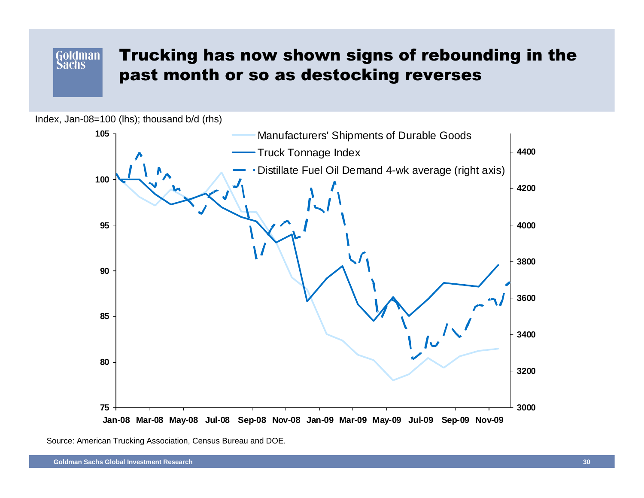### **Goldman Sachs**

## Trucking has now shown signs of rebounding in the past month or so as destocking reverses





Source: American Trucking Association, Census Bureau and DOE.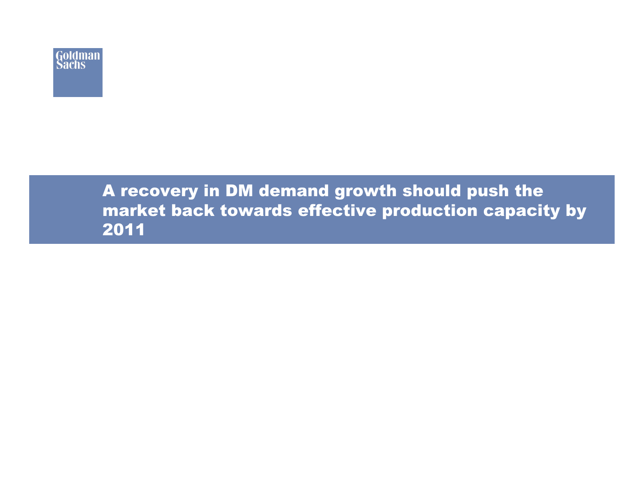

## A recovery in DM demand growth should push the market back towards effective production capacity by2011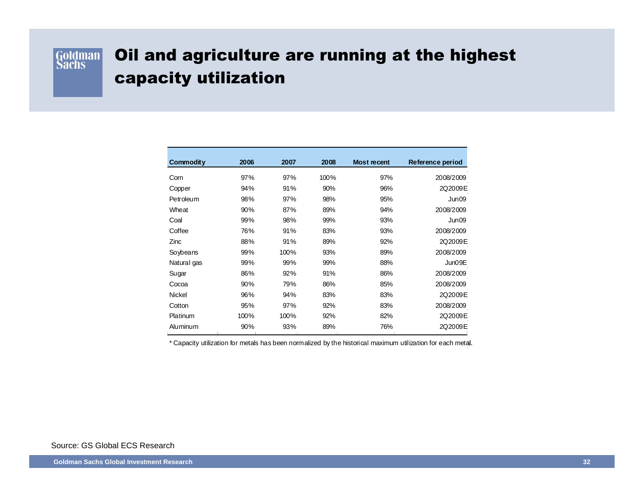

## Oil and agriculture are running at the highest capacity utilization

| Commodity   | 2006 | 2007 | 2008 | <b>Most recent</b> | Reference period |
|-------------|------|------|------|--------------------|------------------|
| Corn        | 97%  | 97%  | 100% | 97%                | 2008/2009        |
| Copper      | 94%  | 91%  | 90%  | 96%                | 2Q2009E          |
| Petroleum   | 98%  | 97%  | 98%  | 95%                | Jun09            |
| Wheat       | 90%  | 87%  | 89%  | 94%                | 2008/2009        |
| Coal        | 99%  | 98%  | 99%  | 93%                | Jun09            |
| Coffee      | 76%  | 91%  | 83%  | 93%                | 2008/2009        |
| Zinc        | 88%  | 91%  | 89%  | 92%                | 2Q2009E          |
| Soybeans    | 99%  | 100% | 93%  | 89%                | 2008/2009        |
| Natural gas | 99%  | 99%  | 99%  | 88%                | Jun09E           |
| Sugar       | 86%  | 92%  | 91%  | 86%                | 2008/2009        |
| Cocoa       | 90%  | 79%  | 86%  | 85%                | 2008/2009        |
| Nickel      | 96%  | 94%  | 83%  | 83%                | 2Q2009E          |
| Cotton      | 95%  | 97%  | 92%  | 83%                | 2008/2009        |
| Platinum    | 100% | 100% | 92%  | 82%                | 2Q2009E          |
| Aluminum    | 90%  | 93%  | 89%  | 76%                | 2Q2009E          |

\* Capacity utilization for metals has been normalized by the historical maximum utilization for each metal.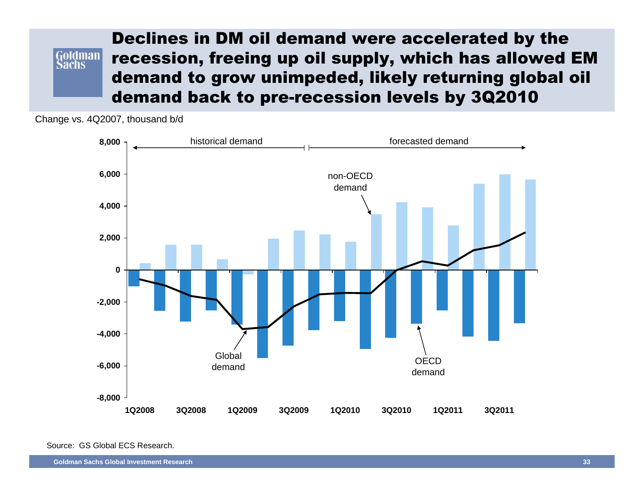### Declines in DM oil demand were accelerated by the Goldman recession, freeing up oil supply, which has allowed EM Sāchs demand to grow unimpeded, likely returning global oil demand back to pre-recession levels by 3Q2010

Change vs. 4Q2007, thousand b/d



Source: GS Global ECS Research.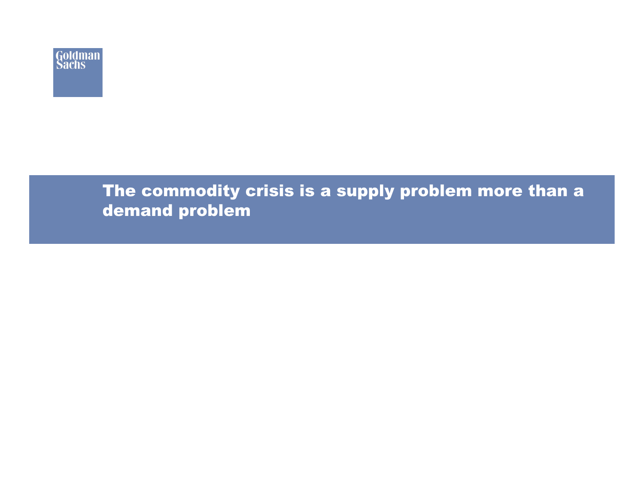

## The commodity crisis is a supply problem more than a demand problem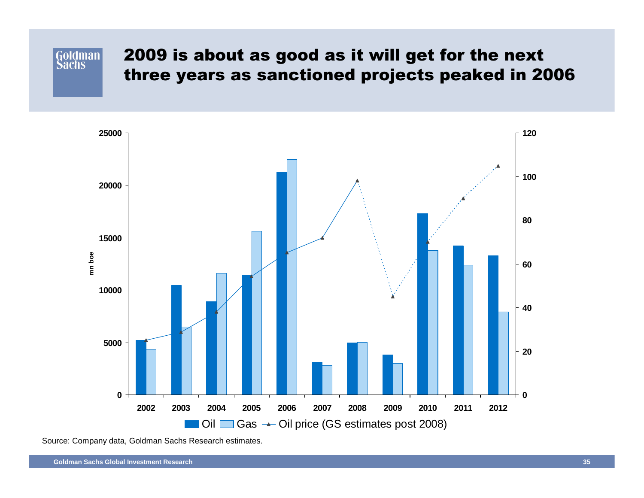## 2009 is about as good as it will get for the next three years as sanctioned projects peaked in 2006



Source: Company data, Goldman Sachs Research estimates.

Goldman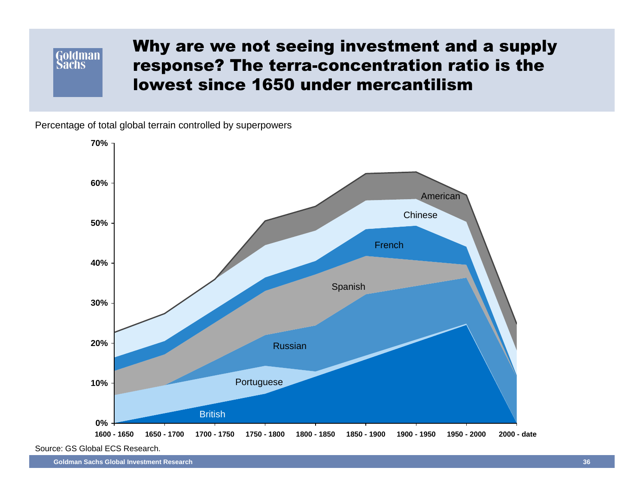### Goldman **Sachs**

## Why are we not seeing investment and a supply response? The terra-concentration ratio is the lowest since 1650 under mercantilism

Percentage of total global terrain controlled by superpowers



Source: GS Global ECS Research.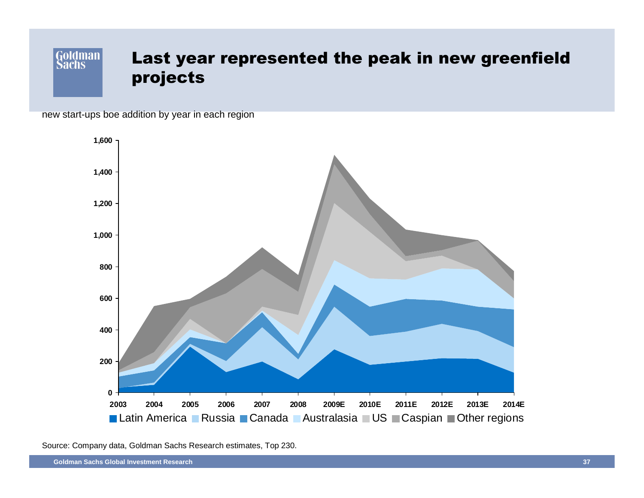### Goldman Last year represented the peak in new greenfield the 2007 projects and 2007  $\sim$

new start-ups boe addition by year in each region



Source: Company data, Goldman Sachs Research estimates, Top 230.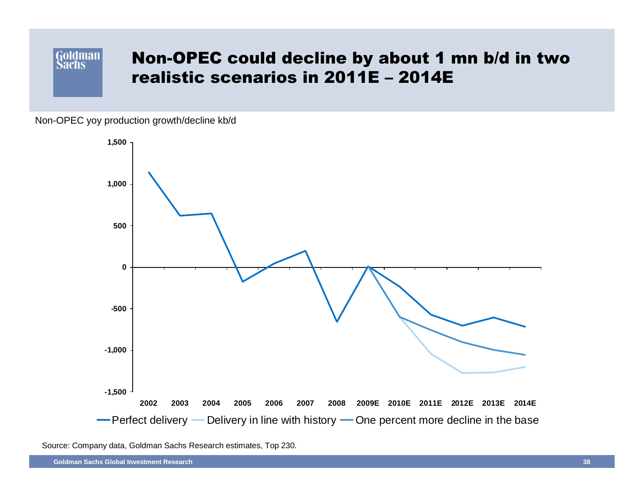### **Goldman** Non-OPEC could decline by about 1 mn b/d in two **Sachs** realistic scenarios in 2011E – 2014E

Non-OPEC yoy production growth/decline kb/d



Source: Company data, Goldman Sachs Research estimates, Top 230.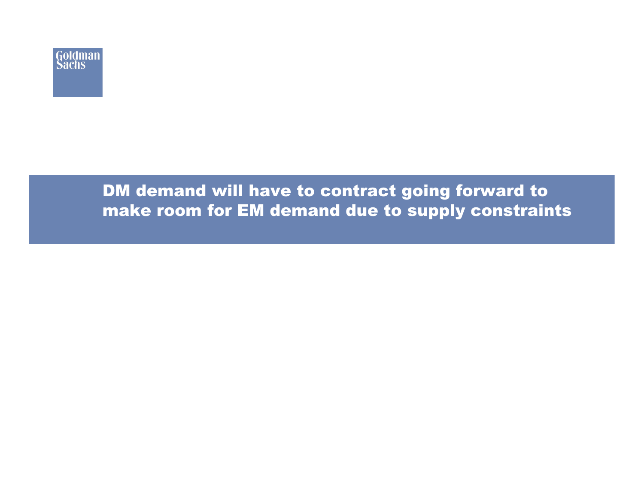

## DM demand will have to contract going forward to make room for EM demand due to supply constraints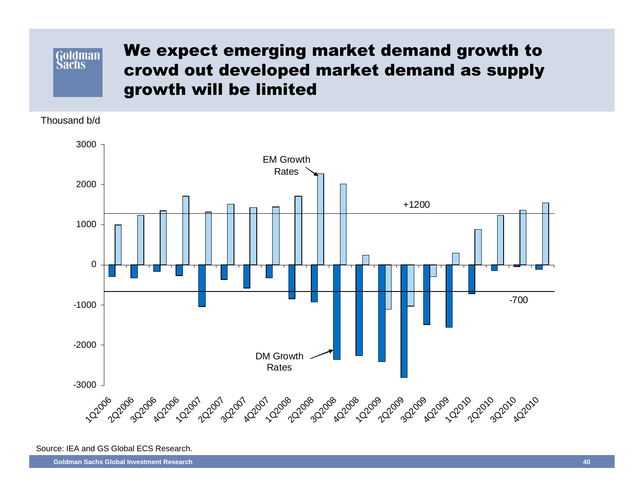### **Goldman Sachs**

## We expect emerging market demand growth to crowd out developed market demand as supply growth will be limited

Thousand b/d



Source: IEA and GS Global ECS Research.

**Goldman Sachs Global Investment Research**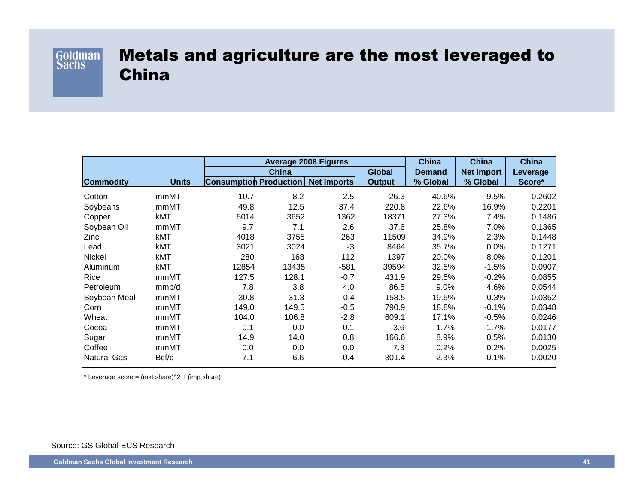

## Metals and agriculture are the most leveraged to China

|                    |              | <b>Average 2008 Figures</b>   |              |                    |               | <b>China</b>  | <b>China</b>      | China    |
|--------------------|--------------|-------------------------------|--------------|--------------------|---------------|---------------|-------------------|----------|
|                    |              |                               | <b>China</b> |                    |               | <b>Demand</b> | <b>Net Import</b> | Leverage |
| <b>Commodity</b>   | <b>Units</b> | <b>Consumption Production</b> |              | <b>Net Imports</b> | <b>Output</b> | % Global      | % Global          | Score*   |
| Cotton             | mmMT         | 10.7                          | 8.2          | 2.5                | 26.3          | 40.6%         | 9.5%              | 0.2602   |
| Soybeans           | mmMT         | 49.8                          | 12.5         | 37.4               | 220.8         | 22.6%         | 16.9%             | 0.2201   |
| Copper             | kMT          | 5014                          | 3652         | 1362               | 18371         | 27.3%         | 7.4%              | 0.1486   |
| Soybean Oil        | mmMT         | 9.7                           | 7.1          | 2.6                | 37.6          | 25.8%         | 7.0%              | 0.1365   |
| Zinc               | kMT          | 4018                          | 3755         | 263                | 11509         | 34.9%         | 2.3%              | 0.1448   |
| Lead               | kMT          | 3021                          | 3024         | -3                 | 8464          | 35.7%         | 0.0%              | 0.1271   |
| Nickel             | kMT          | 280                           | 168          | 112                | 1397          | 20.0%         | 8.0%              | 0.1201   |
| Aluminum           | kMT          | 12854                         | 13435        | $-581$             | 39594         | 32.5%         | $-1.5%$           | 0.0907   |
| Rice               | mmMT         | 127.5                         | 128.1        | $-0.7$             | 431.9         | 29.5%         | $-0.2%$           | 0.0855   |
| Petroleum          | mmb/d        | 7.8                           | 3.8          | 4.0                | 86.5          | 9.0%          | 4.6%              | 0.0544   |
| Soybean Meal       | mmMT         | 30.8                          | 31.3         | $-0.4$             | 158.5         | 19.5%         | $-0.3%$           | 0.0352   |
| Corn               | mmMT         | 149.0                         | 149.5        | $-0.5$             | 790.9         | 18.8%         | $-0.1%$           | 0.0348   |
| Wheat              | mmMT         | 104.0                         | 106.8        | $-2.8$             | 609.1         | 17.1%         | $-0.5%$           | 0.0246   |
| Cocoa              | mmMT         | 0.1                           | 0.0          | 0.1                | 3.6           | 1.7%          | 1.7%              | 0.0177   |
| Sugar              | mmMT         | 14.9                          | 14.0         | 0.8                | 166.6         | 8.9%          | 0.5%              | 0.0130   |
| Coffee             | mmMT         | 0.0                           | 0.0          | 0.0                | 7.3           | 0.2%          | 0.2%              | 0.0025   |
| <b>Natural Gas</b> | Bcf/d        | 7.1                           | 6.6          | 0.4                | 301.4         | 2.3%          | 0.1%              | 0.0020   |

\* Leverage score = (mkt share) $\textdegree$ 2 + (imp share)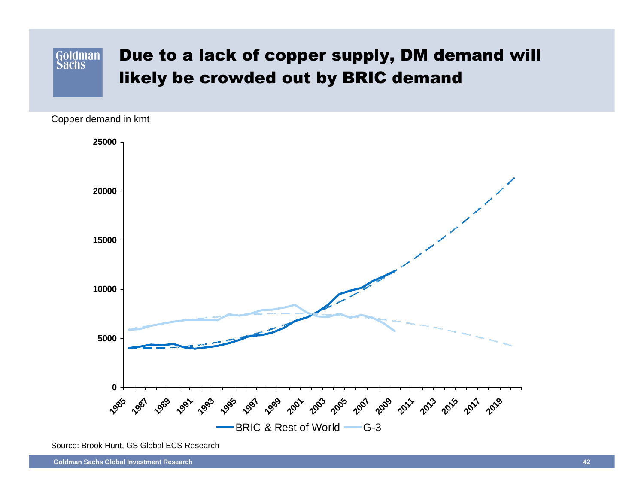

Copper demand in kmt



Source: Brook Hunt, GS Global ECS Research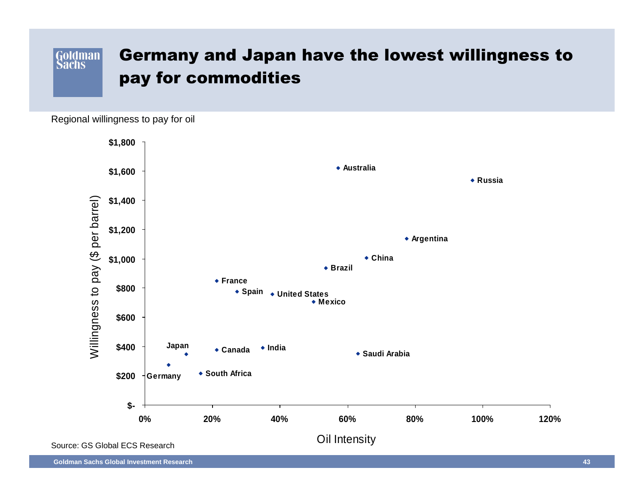### Goldman Germany and Japan have the lowest willingness to pay for commodities

Regional willingness to pay for oil

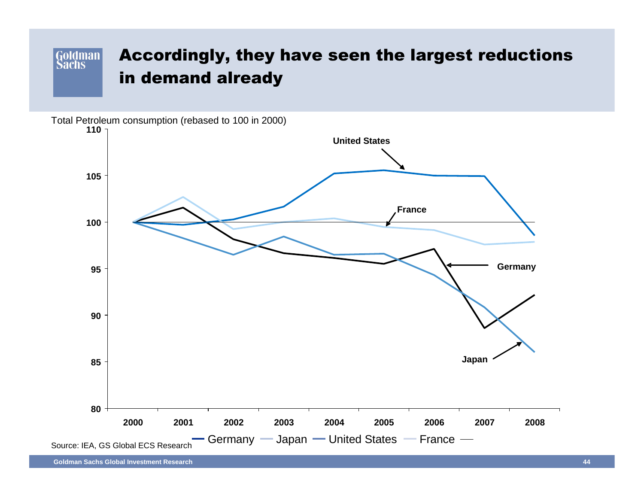### Goldman Accordingly, they have seen the largest reductions in demand already

Total Petroleum consumption (rebased to 100 in 2000)

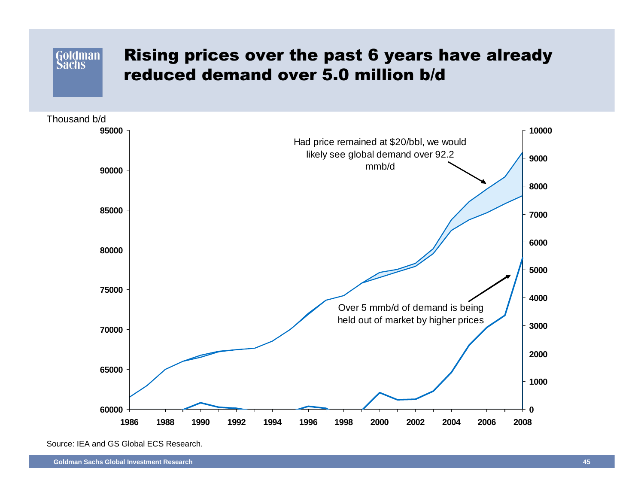## Rising prices over the past 6 years have already reduced demand over 5.0 million b/d



Source: IEA and GS Global ECS Research.

Goldman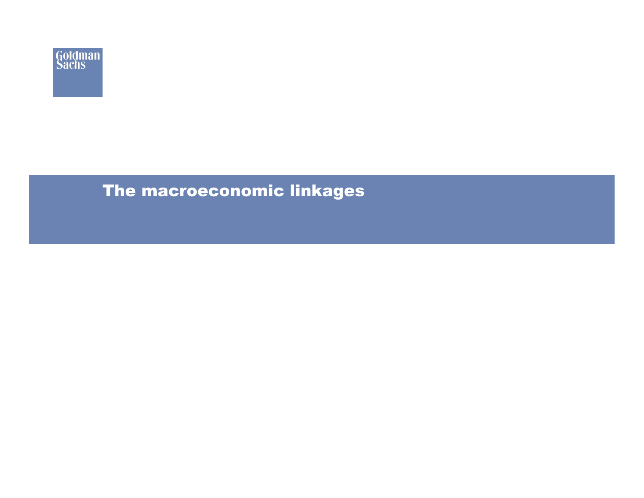

## The macroeconomic linkages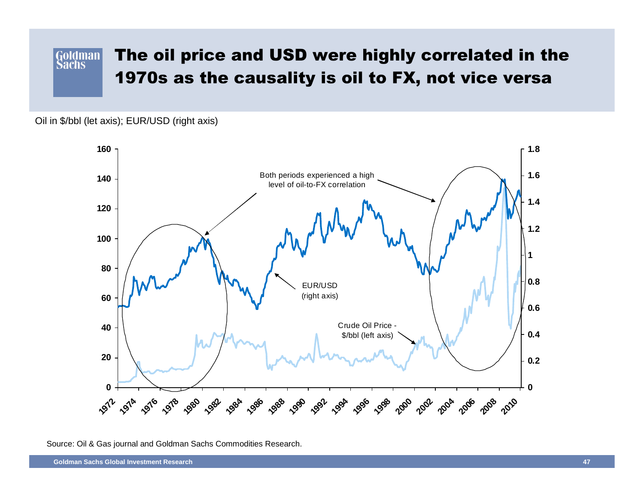#### The oil price and USD were highly correlated in the**Goldman Sachs** 1970s as the causality is oil to FX, not vice versa

Oil in \$/bbl (let axis); EUR/USD (right axis)



Source: Oil & Gas journal and Goldman Sachs Commodities Research.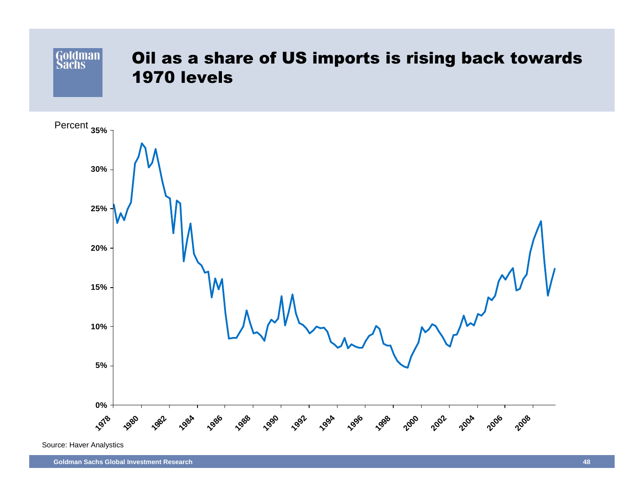



Source: Haver Analystics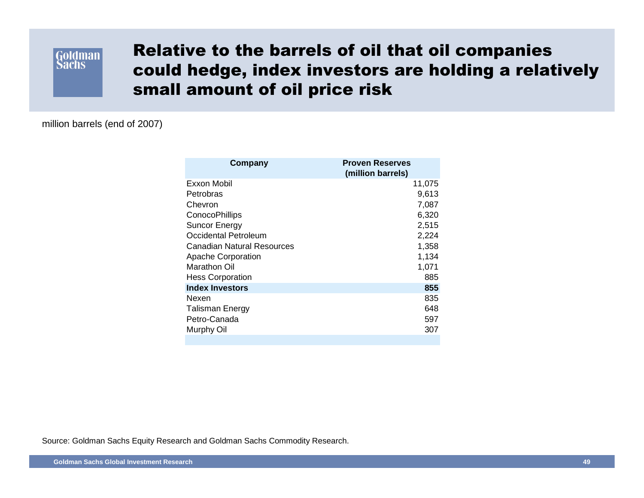

## Relative to the barrels of oil that oil companies could hedge, index investors are holding a relatively small amount of oil price risk

million barrels (end of 2007)

| Company                    | <b>Proven Reserves</b><br>(million barrels) |
|----------------------------|---------------------------------------------|
| Exxon Mobil                | 11,075                                      |
| Petrobras                  | 9,613                                       |
| Chevron                    | 7,087                                       |
| <b>ConocoPhillips</b>      | 6,320                                       |
| <b>Suncor Energy</b>       | 2,515                                       |
| Occidental Petroleum       | 2,224                                       |
| Canadian Natural Resources | 1,358                                       |
| <b>Apache Corporation</b>  | 1,134                                       |
| Marathon Oil               | 1,071                                       |
| <b>Hess Corporation</b>    | 885                                         |
| <b>Index Investors</b>     | 855                                         |
| Nexen                      | 835                                         |
| <b>Talisman Energy</b>     | 648                                         |
| Petro-Canada               | 597                                         |
| Murphy Oil                 | 307                                         |
|                            |                                             |

Source: Goldman Sachs Equity Research and Goldman Sachs Commodity Research.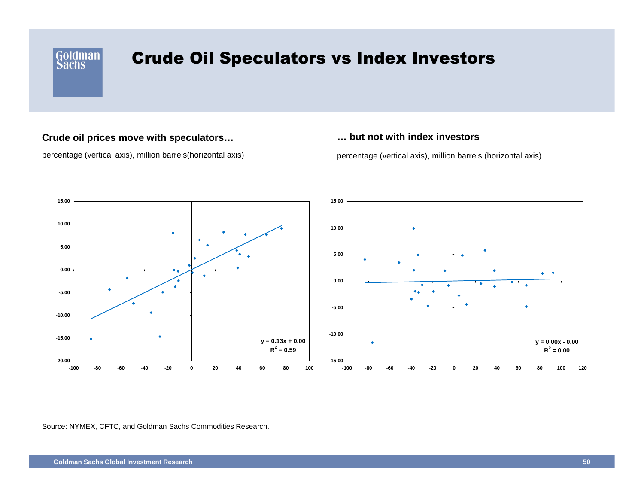

## Crude Oil Speculators vs Index Investors

### **Crude oil prices move with speculators…**

percentage (vertical axis), million barrels(horizontal axis)

### **… but not with index investors**

percentage (vertical axis), million barrels (horizontal axis)



Source: NYMEX, CFTC, and Goldman Sachs Commodities Research.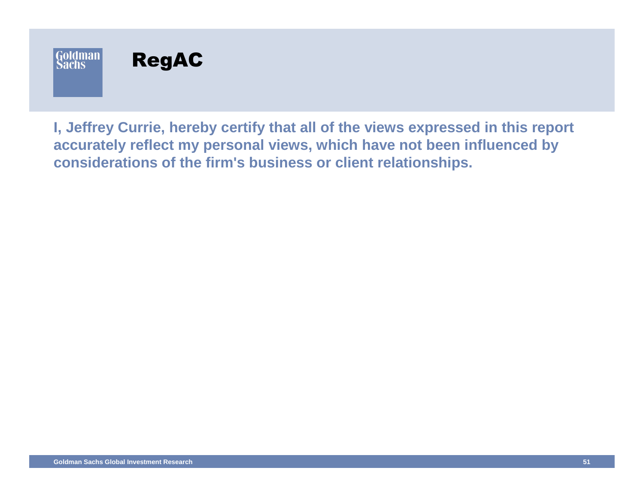

**I, Jeffrey Currie, hereby certify that all of the views expressed in this report accurately reflect my personal views, which have not been influenced by considerations of the firm's business or client relationships.**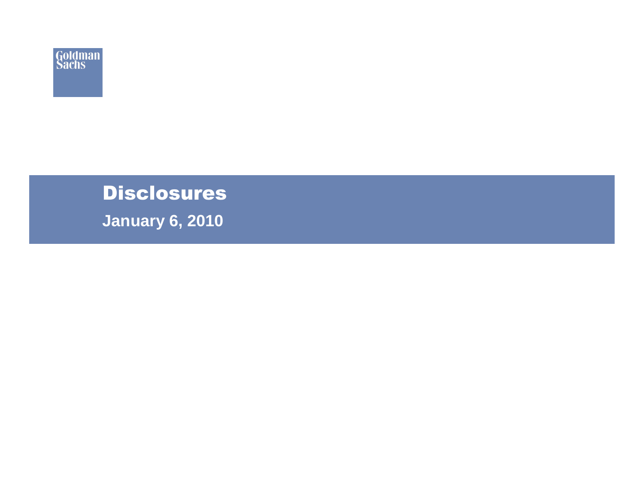

# **Disclosures**

**January 6, 2010**